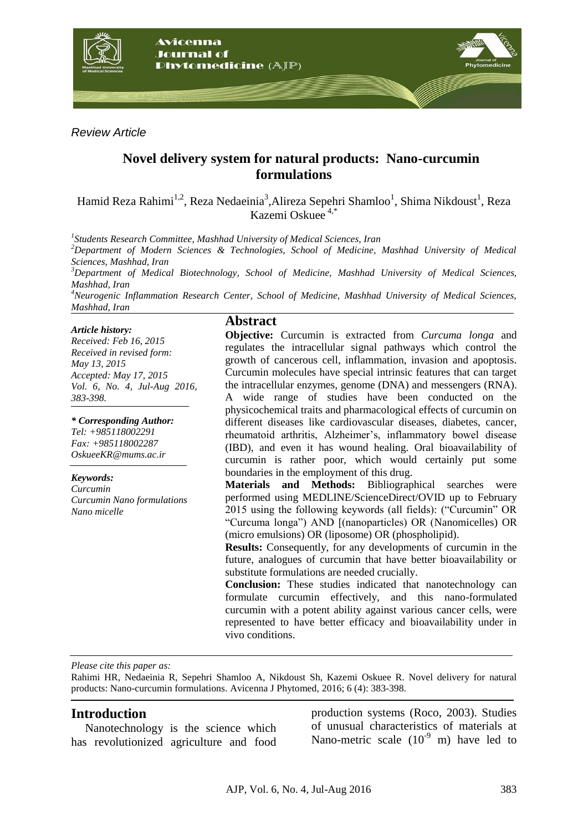

*Review Article*

# **Novel delivery system for natural products: Nano-curcumin formulations**

Hamid Reza Rahimi<sup>1,2</sup>, Reza Nedaeinia<sup>3</sup>,Alireza Sepehri Shamloo<sup>1</sup>, Shima Nikdoust<sup>1</sup>, Reza Kazemi Oskuee 4,\*

*1 Students Research Committee, Mashhad University of Medical Sciences, Iran*

*<sup>2</sup>Department of Modern Sciences & Technologies, School of Medicine, Mashhad University of Medical Sciences, Mashhad, Iran*

*<sup>3</sup>Department of Medical Biotechnology, School of Medicine, Mashhad University of Medical Sciences, Mashhad, Iran*

*<sup>4</sup>Neurogenic Inflammation Research Center, School of Medicine, Mashhad University of Medical Sciences, Mashhad, Iran*

#### *Article history:*

*Received: Feb 16, 2015 Received in revised form: May 13, 2015 Accepted: May 17, 2015 Vol. 6, No. 4, Jul-Aug 2016, 383-398.*

*\* Corresponding Author: Tel: +985118002291 Fax: +985118002287 OskueeKR@mums.ac.ir*

*Keywords: Curcumin Curcumin Nano formulations Nano micelle*

#### **Abstract**

**Objective:** Curcumin is extracted from *Curcuma longa* and regulates the intracellular signal pathways which control the growth of cancerous cell, inflammation, invasion and apoptosis. Curcumin molecules have special intrinsic features that can target the intracellular enzymes, genome (DNA) and messengers (RNA). A wide range of studies have been conducted on the physicochemical traits and pharmacological effects of curcumin on different diseases like cardiovascular diseases, diabetes, cancer, rheumatoid arthritis, Alzheimer's, inflammatory bowel disease (IBD), and even it has wound healing. Oral bioavailability of curcumin is rather poor, which would certainly put some boundaries in the employment of this drug.

**Materials and Methods:** Bibliographical searches were performed using MEDLINE/ScienceDirect/OVID up to February 2015 using the following keywords (all fields): ("Curcumin" OR "Curcuma longa") AND [(nanoparticles) OR (Nanomicelles) OR (micro emulsions) OR (liposome) OR (phospholipid).

**Results:** Consequently, for any developments of curcumin in the future, analogues of curcumin that have better bioavailability or substitute formulations are needed crucially.

**Conclusion:** These studies indicated that nanotechnology can formulate curcumin effectively, and this nano-formulated curcumin with a potent ability against various cancer cells, were represented to have better efficacy and bioavailability under in vivo conditions.

*Please cite this paper as:*

Rahimi HR, Nedaeinia R, Sepehri Shamloo A, Nikdoust Sh, Kazemi Oskuee R. Novel delivery for natural products: Nano-curcumin formulations. Avicenna J Phytomed, 2016; 6 (4): 383-398.

#### **Introduction**

Nanotechnology is the science which has revolutionized agriculture and food

production systems (Roco, 2003). Studies of unusual characteristics of materials at Nano-metric scale  $(10^{-9} \text{ m})$  have led to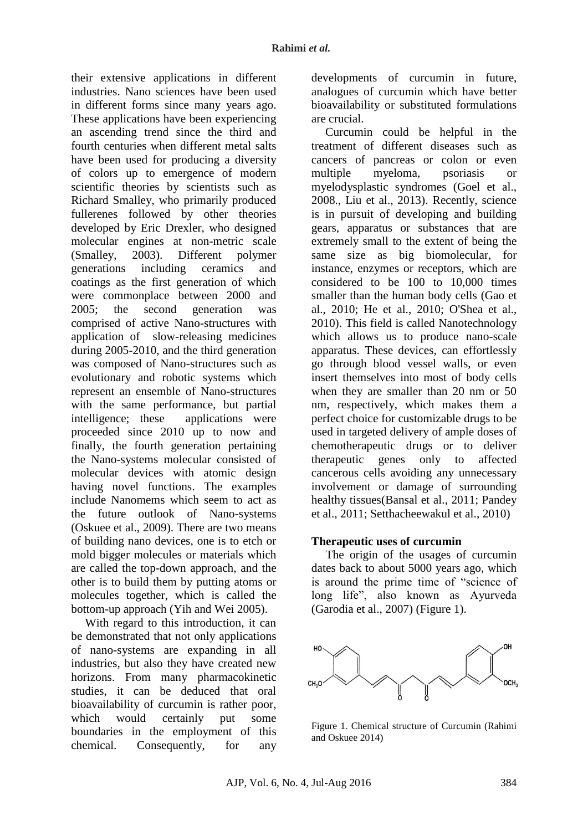their extensive applications in different industries. Nano sciences have been used in different forms since many years ago. These applications have been experiencing an ascending trend since the third and fourth centuries when different metal salts have been used for producing a diversity of colors up to emergence of modern scientific theories by scientists such as Richard Smalley, who primarily produced fullerenes followed by other theories developed by Eric Drexler, who designed molecular engines at non-metric scale (Smalley, 2003). Different polymer generations including ceramics and coatings as the first generation of which were commonplace between 2000 and 2005; the second generation was comprised of active Nano-structures with application of slow-releasing medicines during 2005-2010, and the third generation was composed of Nano-structures such as evolutionary and robotic systems which represent an ensemble of Nano-structures with the same performance, but partial intelligence; these applications were proceeded since 2010 up to now and finally, the fourth generation pertaining the Nano-systems molecular consisted of molecular devices with atomic design having novel functions. The examples include Nanomems which seem to act as the future outlook of Nano-systems (Oskuee et al., 2009). There are two means of building nano devices, one is to etch or mold bigger molecules or materials which are called the top-down approach, and the other is to build them by putting atoms or molecules together, which is called the bottom-up approach (Yih and Wei 2005).

With regard to this introduction, it can be demonstrated that not only applications of nano-systems are expanding in all industries, but also they have created new horizons. From many pharmacokinetic studies, it can be deduced that oral bioavailability of curcumin is rather poor, which would certainly put some boundaries in the employment of this chemical. Consequently, for any

developments of curcumin in future, analogues of curcumin which have better bioavailability or substituted formulations are crucial.

Curcumin could be helpful in the treatment of different diseases such as cancers of pancreas or colon or even multiple myeloma, psoriasis or myelodysplastic syndromes (Goel et al., 2008., Liu et al., 2013). Recently, science is in pursuit of developing and building gears, apparatus or substances that are extremely small to the extent of being the same size as big biomolecular, for instance, enzymes or receptors, which are considered to be 100 to 10,000 times smaller than the human body cells (Gao et al., 2010; He et al., 2010; O'Shea et al., 2010). This field is called Nanotechnology which allows us to produce nano-scale apparatus. These devices, can effortlessly go through blood vessel walls, or even insert themselves into most of body cells when they are smaller than 20 nm or 50 nm, respectively, which makes them a perfect choice for customizable drugs to be used in targeted delivery of ample doses of chemotherapeutic drugs or to deliver therapeutic genes only to affected cancerous cells avoiding any unnecessary involvement or damage of surrounding healthy tissues(Bansal et al., 2011; Pandey et al., 2011; Setthacheewakul et al., 2010)

#### **Therapeutic uses of curcumin**

The origin of the usages of curcumin dates back to about 5000 years ago, which is around the prime time of "science of long life", also known as Ayurveda (Garodia et al., 2007) (Figure 1).



Figure 1. Chemical structure of Curcumin (Rahimi and Oskuee 2014)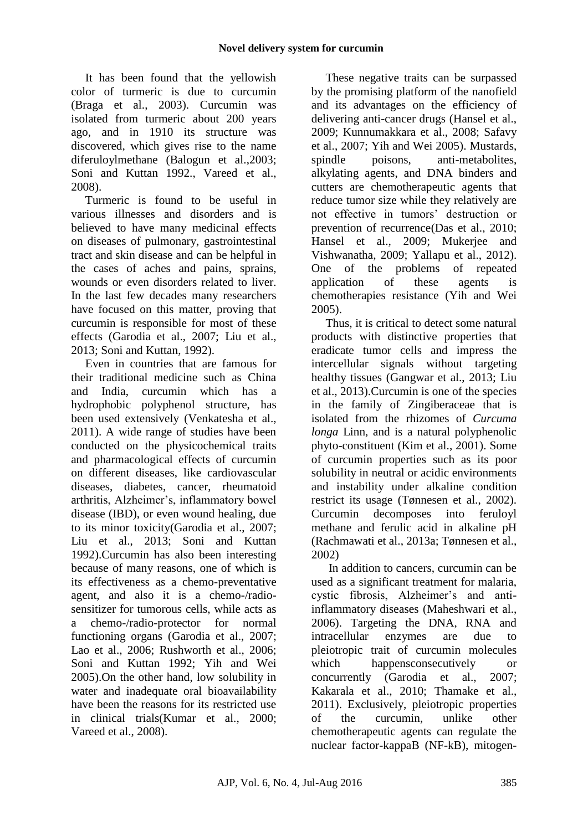It has been found that the yellowish color of turmeric is due to curcumin (Braga et al., 2003). Curcumin was isolated from turmeric about 200 years ago, and in 1910 its structure was discovered, which gives rise to the name diferuloylmethane (Balogun et al.,2003; Soni and Kuttan 1992., Vareed et al., 2008).

Turmeric is found to be useful in various illnesses and disorders and is believed to have many medicinal effects on diseases of pulmonary, gastrointestinal tract and skin disease and can be helpful in the cases of aches and pains, sprains, wounds or even disorders related to liver. In the last few decades many researchers have focused on this matter, proving that curcumin is responsible for most of these effects (Garodia et al., 2007; Liu et al., 2013; Soni and Kuttan, 1992).

Even in countries that are famous for their traditional medicine such as China and India, curcumin which has a hydrophobic polyphenol structure, has been used extensively (Venkatesha et al., 2011). A wide range of studies have been conducted on the physicochemical traits and pharmacological effects of curcumin on different diseases, like cardiovascular diseases, diabetes, cancer, rheumatoid arthritis, Alzheimer's, inflammatory bowel disease (IBD), or even wound healing, due to its minor toxicity(Garodia et al., 2007; Liu et al., 2013; Soni and Kuttan 1992).Curcumin has also been interesting because of many reasons, one of which is its effectiveness as a chemo-preventative agent, and also it is a chemo-/radiosensitizer for tumorous cells, while acts as a chemo-/radio-protector for normal functioning organs (Garodia et al., 2007; Lao et al., 2006; Rushworth et al., 2006; Soni and Kuttan 1992; Yih and Wei 2005).On the other hand, low solubility in water and inadequate oral bioavailability have been the reasons for its restricted use in clinical trials(Kumar et al., 2000; Vareed et al., 2008).

These negative traits can be surpassed by the promising platform of the nanofield and its advantages on the efficiency of delivering anti-cancer drugs (Hansel et al., 2009; Kunnumakkara et al., 2008; Safavy et al., 2007; Yih and Wei 2005). Mustards, spindle poisons, anti-metabolites, alkylating agents, and DNA binders and cutters are chemotherapeutic agents that reduce tumor size while they relatively are not effective in tumors' destruction or prevention of recurrence(Das et al., 2010; Hansel et al., 2009; Mukerjee and Vishwanatha, 2009; Yallapu et al., 2012). One of the problems of repeated application of these agents is chemotherapies resistance (Yih and Wei 2005).

Thus, it is critical to detect some natural products with distinctive properties that eradicate tumor cells and impress the intercellular signals without targeting healthy tissues (Gangwar et al., 2013; Liu et al., 2013).Curcumin is one of the species in the family of Zingiberaceae that is isolated from the rhizomes of *Curcuma longa* Linn, and is a natural polyphenolic phyto-constituent (Kim et al., 2001). Some of curcumin properties such as its poor solubility in neutral or acidic environments and instability under alkaline condition restrict its usage (Tønnesen et al., 2002). Curcumin decomposes into feruloyl methane and ferulic acid in alkaline pH (Rachmawati et al., 2013a; Tønnesen et al., 2002)

In addition to cancers, curcumin can be used as a significant treatment for malaria, cystic fibrosis, Alzheimer's and antiinflammatory diseases (Maheshwari et al., 2006). Targeting the DNA, RNA and intracellular enzymes are due to pleiotropic trait of curcumin molecules which happens consecutively or concurrently (Garodia et al., 2007; Kakarala et al., 2010; Thamake et al., 2011). Exclusively, pleiotropic properties of the curcumin, unlike other chemotherapeutic agents can regulate the nuclear factor-kappaB (NF-kB), mitogen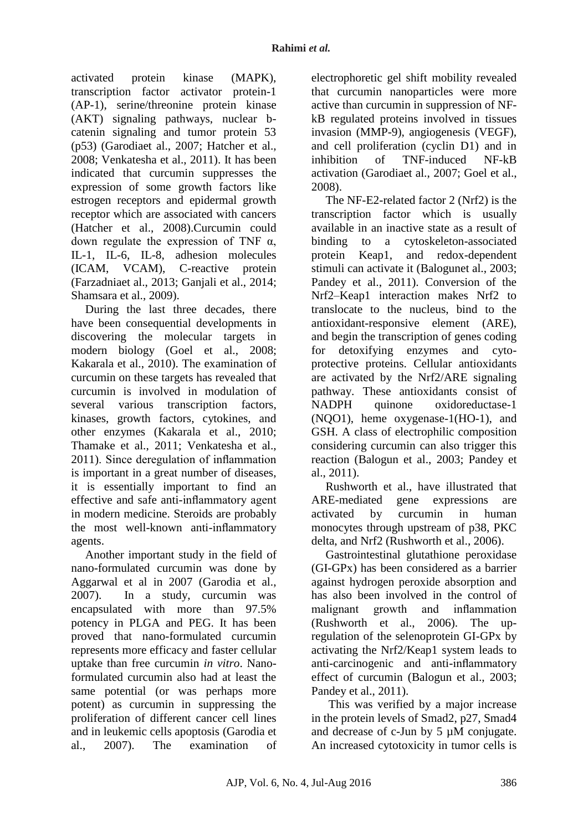activated protein kinase (MAPK), transcription factor activator protein-1 (AP-1), serine/threonine protein kinase (AKT) signaling pathways, nuclear bcatenin signaling and tumor protein 53 (p53) (Garodiaet al., 2007; Hatcher et al., 2008; Venkatesha et al., 2011). It has been indicated that curcumin suppresses the expression of some growth factors like estrogen receptors and epidermal growth receptor which are associated with cancers (Hatcher et al., 2008).Curcumin could down regulate the expression of TNF α, IL-1, IL-6, IL-8, adhesion molecules (ICAM, VCAM), C-reactive protein (Farzadniaet al., 2013; Ganjali et al., 2014; Shamsara et al., 2009).

During the last three decades, there have been consequential developments in discovering the molecular targets in modern biology (Goel et al., 2008; Kakarala et al., 2010). The examination of curcumin on these targets has revealed that curcumin is involved in modulation of several various transcription factors, kinases, growth factors, cytokines, and other enzymes (Kakarala et al., 2010; Thamake et al., 2011; Venkatesha et al., 2011). Since deregulation of inflammation is important in a great number of diseases, it is essentially important to find an effective and safe anti-inflammatory agent in modern medicine. Steroids are probably the most well-known anti-inflammatory agents.

Another important study in the field of nano-formulated curcumin was done by Aggarwal et al in 2007 (Garodia et al., 2007). In a study, curcumin was encapsulated with more than 97.5% potency in PLGA and PEG. It has been proved that nano-formulated curcumin represents more efficacy and faster cellular uptake than free curcumin *in vitro*. Nanoformulated curcumin also had at least the same potential (or was perhaps more potent) as curcumin in suppressing the proliferation of different cancer cell lines and in leukemic cells apoptosis (Garodia et al., 2007). The examination of

electrophoretic gel shift mobility revealed that curcumin nanoparticles were more active than curcumin in suppression of NFkB regulated proteins involved in tissues invasion (MMP-9), angiogenesis (VEGF), and cell proliferation (cyclin D1) and in inhibition of TNF-induced NF-kB activation (Garodiaet al., 2007; Goel et al., 2008).

The NF-E2-related factor 2 (Nrf2) is the transcription factor which is usually available in an inactive state as a result of binding to a cytoskeleton-associated protein Keap1, and redox-dependent stimuli can activate it (Balogunet al., 2003; Pandey et al., 2011). Conversion of the Nrf2–Keap1 interaction makes Nrf2 to translocate to the nucleus, bind to the antioxidant-responsive element (ARE), and begin the transcription of genes coding for detoxifying enzymes and cytoprotective proteins. Cellular antioxidants are activated by the Nrf2/ARE signaling pathway. These antioxidants consist of NADPH quinone oxidoreductase-1 (NQO1), heme oxygenase-1(HO-1), and GSH. A class of electrophilic composition considering curcumin can also trigger this reaction (Balogun et al., 2003; Pandey et al., 2011).

Rushworth et al., have illustrated that ARE-mediated gene expressions are activated by curcumin in human monocytes through upstream of p38, PKC delta, and Nrf2 (Rushworth et al., 2006).

Gastrointestinal glutathione peroxidase (GI-GPx) has been considered as a barrier against hydrogen peroxide absorption and has also been involved in the control of malignant growth and inflammation (Rushworth et al., 2006). The upregulation of the selenoprotein GI-GPx by activating the Nrf2/Keap1 system leads to anti-carcinogenic and anti-inflammatory effect of curcumin (Balogun et al., 2003; Pandey et al., 2011).

This was verified by a major increase in the protein levels of Smad2, p27, Smad4 and decrease of c-Jun by 5 µM conjugate. An increased cytotoxicity in tumor cells is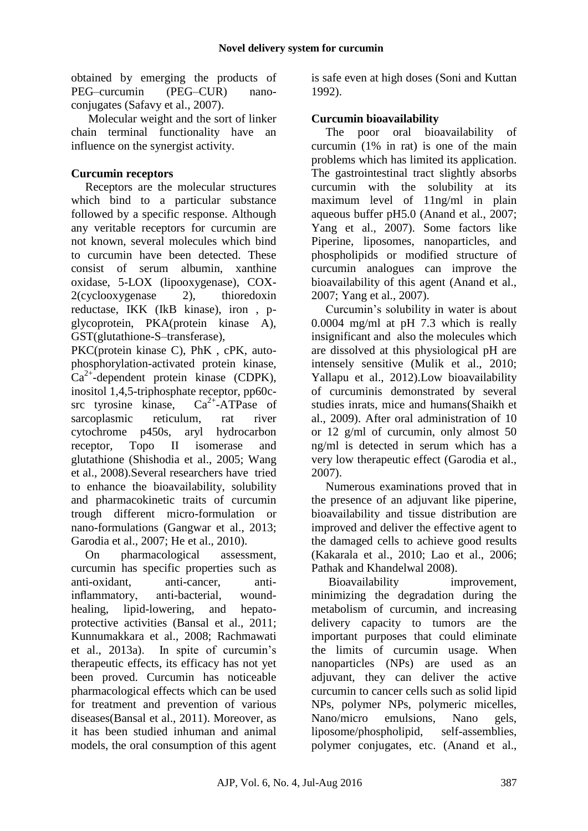obtained by emerging the products of PEG–curcumin (PEG–CUR) nanoconjugates (Safavy et al., 2007).

Molecular weight and the sort of linker chain terminal functionality have an influence on the synergist activity.

## **Curcumin receptors**

Receptors are the molecular structures which bind to a particular substance followed by a specific response. Although any veritable receptors for curcumin are not known, several molecules which bind to curcumin have been detected. These consist of serum albumin, xanthine oxidase, 5-LOX (lipooxygenase), COX-2(cyclooxygenase 2), thioredoxin reductase, IKK (IkB kinase), iron , pglycoprotein, PKA(protein kinase A), GST(glutathione-S–transferase),

PKC(protein kinase C), PhK , cPK, autophosphorylation-activated protein kinase,  $Ca^{2+}$ -dependent protein kinase (CDPK), inositol 1,4,5-triphosphate receptor, pp60csrc tyrosine kinase,  $Ca^{2+}$ -ATPase of sarcoplasmic reticulum, rat river cytochrome p450s, aryl hydrocarbon receptor, Topo II isomerase and glutathione (Shishodia et al., 2005; Wang et al., 2008).Several researchers have tried to enhance the bioavailability, solubility and pharmacokinetic traits of curcumin trough different micro-formulation or nano-formulations (Gangwar et al., 2013; Garodia et al., 2007; He et al., 2010).

On pharmacological assessment, curcumin has specific properties such as anti-oxidant, anti-cancer, antiinflammatory, anti-bacterial, woundhealing, lipid-lowering, and hepatoprotective activities (Bansal et al., 2011; Kunnumakkara et al., 2008; Rachmawati et al., 2013a). In spite of curcumin's therapeutic effects, its efficacy has not yet been proved. Curcumin has noticeable pharmacological effects which can be used for treatment and prevention of various diseases(Bansal et al., 2011). Moreover, as it has been studied inhuman and animal models, the oral consumption of this agent is safe even at high doses (Soni and Kuttan 1992).

## **Curcumin bioavailability**

The poor oral bioavailability of curcumin (1% in rat) is one of the main problems which has limited its application. The gastrointestinal tract slightly absorbs curcumin with the solubility at its maximum level of 11ng/ml in plain aqueous buffer pH5.0 (Anand et al., 2007; Yang et al., 2007). Some factors like Piperine, liposomes, nanoparticles, and phospholipids or modified structure of curcumin analogues can improve the bioavailability of this agent (Anand et al., 2007; Yang et al., 2007).

Curcumin's solubility in water is about 0.0004 mg/ml at pH 7.3 which is really insignificant and also the molecules which are dissolved at this physiological pH are intensely sensitive (Mulik et al., 2010; Yallapu et al., 2012).Low bioavailability of curcuminis demonstrated by several studies inrats, mice and humans(Shaikh et al., 2009). After oral administration of 10 or 12 g/ml of curcumin, only almost 50 ng/ml is detected in serum which has a very low therapeutic effect (Garodia et al., 2007).

Numerous examinations proved that in the presence of an adjuvant like piperine, bioavailability and tissue distribution are improved and deliver the effective agent to the damaged cells to achieve good results (Kakarala et al., 2010; Lao et al., 2006; Pathak and Khandelwal 2008).

Bioavailability improvement, minimizing the degradation during the metabolism of curcumin, and increasing delivery capacity to tumors are the important purposes that could eliminate the limits of curcumin usage. When nanoparticles (NPs) are used as an adjuvant, they can deliver the active curcumin to cancer cells such as solid lipid NPs, polymer NPs, polymeric micelles, Nano/micro emulsions, Nano gels, liposome/phospholipid, self-assemblies, polymer conjugates, etc. (Anand et al.,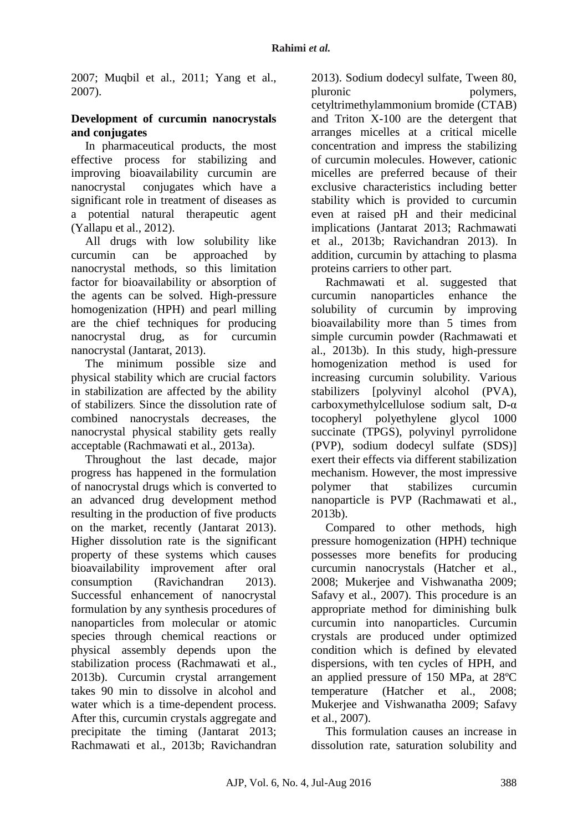2007; Muqbil et al., 2011; Yang et al., 2007).

### **Development of curcumin nanocrystals and conjugates**

In pharmaceutical products, the most effective process for stabilizing and improving bioavailability curcumin are nanocrystal conjugates which have a significant role in treatment of diseases as a potential natural therapeutic agent (Yallapu et al., 2012).

All drugs with low solubility like curcumin can be approached by nanocrystal methods, so this limitation factor for bioavailability or absorption of the agents can be solved. High-pressure homogenization (HPH) and pearl milling are the chief techniques for producing nanocrystal drug, as for curcumin nanocrystal (Jantarat, 2013).

The minimum possible size and physical stability which are crucial factors in stabilization are affected by the ability of stabilizers. Since the dissolution rate of combined nanocrystals decreases, the nanocrystal physical stability gets really acceptable (Rachmawati et al., 2013a).

Throughout the last decade, major progress has happened in the formulation of nanocrystal drugs which is converted to an advanced drug development method resulting in the production of five products on the market, recently (Jantarat 2013). Higher dissolution rate is the significant property of these systems which causes bioavailability improvement after oral consumption (Ravichandran 2013). Successful enhancement of nanocrystal formulation by any synthesis procedures of nanoparticles from molecular or atomic species through chemical reactions or physical assembly depends upon the stabilization process (Rachmawati et al., 2013b). Curcumin crystal arrangement takes 90 min to dissolve in alcohol and water which is a time-dependent process. After this, curcumin crystals aggregate and precipitate the timing (Jantarat 2013; Rachmawati et al., 2013b; Ravichandran

2013). Sodium dodecyl sulfate, Tween 80, pluronic polymers, cetyltrimethylammonium bromide (CTAB) and Triton X-100 are the detergent that arranges micelles at a critical micelle concentration and impress the stabilizing of curcumin molecules. However, cationic micelles are preferred because of their exclusive characteristics including better stability which is provided to curcumin even at raised pH and their medicinal implications (Jantarat 2013; Rachmawati et al., 2013b; Ravichandran 2013). In addition, curcumin by attaching to plasma proteins carriers to other part.

Rachmawati et al. suggested that curcumin nanoparticles enhance the solubility of curcumin by improving bioavailability more than 5 times from simple curcumin powder (Rachmawati et al., 2013b). In this study, high-pressure homogenization method is used for increasing curcumin solubility. Various stabilizers [polyvinyl alcohol (PVA), carboxymethylcellulose sodium salt, D-α tocopheryl polyethylene glycol 1000 succinate (TPGS), polyvinyl pyrrolidone (PVP), sodium dodecyl sulfate (SDS)] exert their effects via different stabilization mechanism. However, the most impressive polymer that stabilizes curcumin nanoparticle is PVP (Rachmawati et al., 2013b).

Compared to other methods, high pressure homogenization (HPH) technique possesses more benefits for producing curcumin nanocrystals (Hatcher et al., 2008; Mukerjee and Vishwanatha 2009; Safavy et al., 2007). This procedure is an appropriate method for diminishing bulk curcumin into nanoparticles. Curcumin crystals are produced under optimized condition which is defined by elevated dispersions, with ten cycles of HPH, and an applied pressure of 150 MPa, at 28ºC temperature (Hatcher et al., 2008; Mukerjee and Vishwanatha 2009; Safavy et al., 2007).

This formulation causes an increase in dissolution rate, saturation solubility and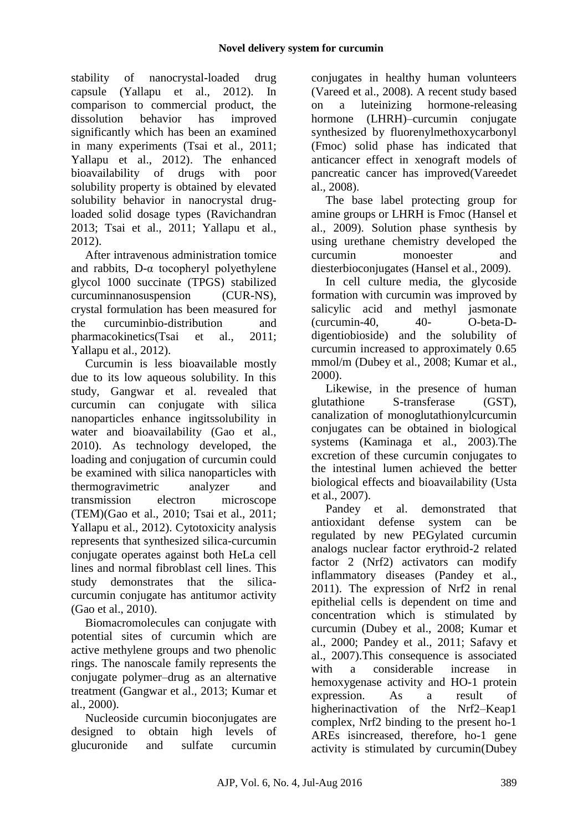stability of nanocrystal-loaded drug capsule (Yallapu et al., 2012). In comparison to commercial product, the dissolution behavior has improved significantly which has been an examined in many experiments (Tsai et al., 2011; Yallapu et al., 2012). The enhanced bioavailability of drugs with poor solubility property is obtained by elevated solubility behavior in nanocrystal drugloaded solid dosage types (Ravichandran 2013; Tsai et al., 2011; Yallapu et al., 2012).

After intravenous administration tomice and rabbits, D-α tocopheryl polyethylene glycol 1000 succinate (TPGS) stabilized curcuminnanosuspension (CUR-NS), crystal formulation has been measured for the curcuminbio-distribution and pharmacokinetics(Tsai et al., 2011; Yallapu et al., 2012).

Curcumin is less bioavailable mostly due to its low aqueous solubility. In this study, Gangwar et al. revealed that curcumin can conjugate with silica nanoparticles enhance ingitssolubility in water and bioavailability (Gao et al., 2010). As technology developed, the loading and conjugation of curcumin could be examined with silica nanoparticles with thermogravimetric analyzer and transmission electron microscope (TEM)(Gao et al., 2010; Tsai et al., 2011; Yallapu et al., 2012). Cytotoxicity analysis represents that synthesized silica-curcumin conjugate operates against both HeLa cell lines and normal fibroblast cell lines. This study demonstrates that the silicacurcumin conjugate has antitumor activity (Gao et al., 2010).

Biomacromolecules can conjugate with potential sites of curcumin which are active methylene groups and two phenolic rings. The nanoscale family represents the conjugate polymer–drug as an alternative treatment (Gangwar et al., 2013; Kumar et al., 2000).

Nucleoside curcumin bioconjugates are designed to obtain high levels of glucuronide and sulfate curcumin

conjugates in healthy human volunteers (Vareed et al., 2008). A recent study based on a luteinizing hormone-releasing hormone (LHRH)–curcumin conjugate synthesized by fluorenylmethoxycarbonyl (Fmoc) solid phase has indicated that anticancer effect in xenograft models of pancreatic cancer has improved(Vareedet al., 2008).

The base label protecting group for amine groups or LHRH is Fmoc (Hansel et al., 2009). Solution phase synthesis by using urethane chemistry developed the curcumin monoester and diesterbioconjugates (Hansel et al., 2009).

In cell culture media, the glycoside formation with curcumin was improved by salicylic acid and methyl jasmonate (curcumin-40, 40- O-beta-Ddigentiobioside) and the solubility of curcumin increased to approximately 0.65 mmol/m (Dubey et al., 2008; Kumar et al., 2000).

Likewise, in the presence of human glutathione S-transferase (GST), canalization of monoglutathionylcurcumin conjugates can be obtained in biological systems (Kaminaga et al., 2003).The excretion of these curcumin conjugates to the intestinal lumen achieved the better biological effects and bioavailability (Usta et al., 2007).

Pandey et al. demonstrated that antioxidant defense system can be regulated by new PEGylated curcumin analogs nuclear factor erythroid-2 related factor 2 (Nrf2) activators can modify inflammatory diseases (Pandey et al., 2011). The expression of Nrf2 in renal epithelial cells is dependent on time and concentration which is stimulated by curcumin (Dubey et al., 2008; Kumar et al., 2000; Pandey et al., 2011; Safavy et al., 2007).This consequence is associated with a considerable increase in hemoxygenase activity and HO-1 protein expression. As a result of higherinactivation of the Nrf2–Keap1 complex, Nrf2 binding to the present ho-1 AREs isincreased, therefore, ho-1 gene activity is stimulated by curcumin(Dubey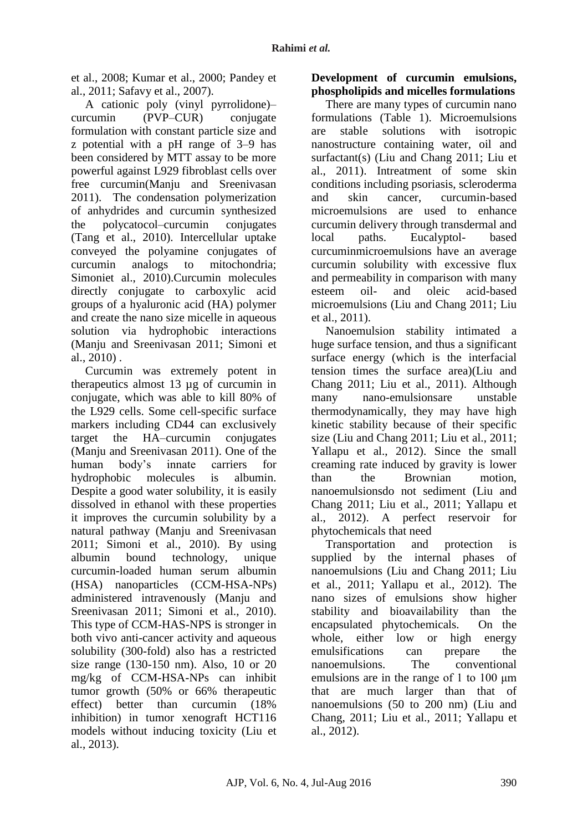et al., 2008; Kumar et al., 2000; Pandey et al., 2011; Safavy et al., 2007).

A cationic poly (vinyl pyrrolidone)– curcumin (PVP–CUR) conjugate formulation with constant particle size and z potential with a pH range of 3–9 has been considered by MTT assay to be more powerful against L929 fibroblast cells over free curcumin(Manju and Sreenivasan 2011). The condensation polymerization of anhydrides and curcumin synthesized the polycatocol–curcumin conjugates (Tang et al., 2010). Intercellular uptake conveyed the polyamine conjugates of curcumin analogs to mitochondria; Simoniet al., 2010).Curcumin molecules directly conjugate to carboxylic acid groups of a hyaluronic acid (HA) polymer and create the nano size micelle in aqueous solution via hydrophobic interactions (Manju and Sreenivasan 2011; Simoni et al., 2010) .

Curcumin was extremely potent in therapeutics almost 13 µg of curcumin in conjugate, which was able to kill 80% of the L929 cells. Some cell-specific surface markers including CD44 can exclusively target the HA–curcumin conjugates (Manju and Sreenivasan 2011). One of the human body's innate carriers for hydrophobic molecules is albumin. Despite a good water solubility, it is easily dissolved in ethanol with these properties it improves the curcumin solubility by a natural pathway (Manju and Sreenivasan 2011; Simoni et al., 2010). By using albumin bound technology, unique curcumin-loaded human serum albumin (HSA) nanoparticles (CCM-HSA-NPs) administered intravenously (Manju and Sreenivasan 2011; Simoni et al., 2010). This type of CCM-HAS-NPS is stronger in both vivo anti-cancer activity and aqueous solubility (300-fold) also has a restricted size range (130-150 nm). Also, 10 or 20 mg/kg of CCM-HSA-NPs can inhibit tumor growth (50% or 66% therapeutic effect) better than curcumin (18% inhibition) in tumor xenograft HCT116 models without inducing toxicity (Liu et al., 2013).

### **Development of curcumin emulsions, phospholipids and micelles formulations**

There are many types of curcumin nano formulations (Table 1). Microemulsions are stable solutions with isotropic nanostructure containing water, oil and surfactant(s) (Liu and Chang 2011; Liu et al., 2011). Intreatment of some skin conditions including psoriasis, scleroderma and skin cancer, curcumin-based microemulsions are used to enhance curcumin delivery through transdermal and local paths. Eucalyptol- based curcuminmicroemulsions have an average curcumin solubility with excessive flux and permeability in comparison with many esteem oil- and oleic acid-based microemulsions (Liu and Chang 2011; Liu et al., 2011).

Nanoemulsion stability intimated a huge surface tension, and thus a significant surface energy (which is the interfacial tension times the surface area)(Liu and Chang 2011; Liu et al., 2011). Although many nano-emulsionsare unstable thermodynamically, they may have high kinetic stability because of their specific size (Liu and Chang 2011; Liu et al., 2011; Yallapu et al., 2012). Since the small creaming rate induced by gravity is lower than the Brownian motion, nanoemulsionsdo not sediment (Liu and Chang 2011; Liu et al., 2011; Yallapu et al., 2012). A perfect reservoir for phytochemicals that need

Transportation and protection is supplied by the internal phases of nanoemulsions (Liu and Chang 2011; Liu et al., 2011; Yallapu et al., 2012). The nano sizes of emulsions show higher stability and bioavailability than the encapsulated phytochemicals. On the whole, either low or high energy emulsifications can prepare the nanoemulsions. The conventional emulsions are in the range of 1 to 100 μm that are much larger than that of nanoemulsions (50 to 200 nm) (Liu and Chang, 2011; Liu et al., 2011; Yallapu et al., 2012).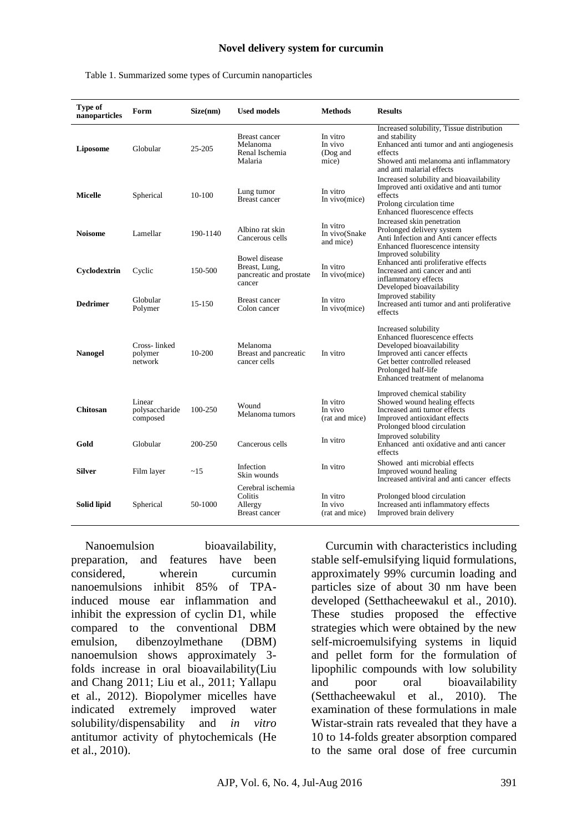#### **Novel delivery system for curcumin**

| Type of<br>nanoparticles | Form                                 | Size(nm)   | <b>Used models</b>                                                         | <b>Methods</b>                           | <b>Results</b>                                                                                                                                                                                                |
|--------------------------|--------------------------------------|------------|----------------------------------------------------------------------------|------------------------------------------|---------------------------------------------------------------------------------------------------------------------------------------------------------------------------------------------------------------|
| Liposome                 | Globular                             | 25-205     | <b>Breast cancer</b><br>Melanoma<br>Renal Ischemia<br>Malaria              | In vitro<br>In vivo<br>(Dog and<br>mice) | Increased solubility, Tissue distribution<br>and stability<br>Enhanced anti tumor and anti angiogenesis<br>effects<br>Showed anti melanoma anti inflammatory<br>and anti malarial effects                     |
| Micelle                  | Spherical                            | 10-100     | Lung tumor<br><b>Breast cancer</b>                                         | In vitro<br>In vivo(mice)                | Increased solubility and bioavailability<br>Improved anti oxidative and anti tumor<br>effects<br>Prolong circulation time<br>Enhanced fluorescence effects                                                    |
| <b>Noisome</b>           | Lamellar                             | 190-1140   | Albino rat skin<br>Cancerous cells                                         | In vitro<br>In vivo(Snake<br>and mice)   | Increased skin penetration<br>Prolonged delivery system<br>Anti Infection and Anti cancer effects<br>Enhanced fluorescence intensity                                                                          |
| Cyclodextrin             | Cyclic                               | 150-500    | <b>Bowel</b> disease<br>Breast, Lung,<br>pancreatic and prostate<br>cancer | In vitro<br>In vivo(mice)                | Improved solubility<br>Enhanced anti proliferative effects<br>Increased anti cancer and anti<br>inflammatory effects<br>Developed bioavailability                                                             |
| <b>Dedrimer</b>          | Globular<br>Polymer                  | $15 - 150$ | <b>Breast cancer</b><br>Colon cancer                                       | In vitro<br>In vivo(mice)                | Improved stability<br>Increased anti tumor and anti proliferative<br>effects                                                                                                                                  |
| <b>Nanogel</b>           | Cross-linked<br>polymer<br>network   | 10-200     | Melanoma<br>Breast and pancreatic<br>cancer cells                          | In vitro                                 | Increased solubility<br>Enhanced fluorescence effects<br>Developed bioavailability<br>Improved anti cancer effects<br>Get better controlled released<br>Prolonged half-life<br>Enhanced treatment of melanoma |
| Chitosan                 | Linear<br>polysaccharide<br>composed | 100-250    | Wound<br>Melanoma tumors                                                   | In vitro<br>In vivo<br>(rat and mice)    | Improved chemical stability<br>Showed wound healing effects<br>Increased anti tumor effects<br>Improved antioxidant effects<br>Prolonged blood circulation                                                    |
| Gold                     | Globular                             | 200-250    | Cancerous cells                                                            | In vitro                                 | Improved solubility<br>Enhanced anti oxidative and anti cancer<br>effects                                                                                                                                     |
| Silver                   | Film layer                           | ~15        | Infection<br>Skin wounds                                                   | In vitro                                 | Showed anti microbial effects<br>Improved wound healing<br>Increased antiviral and anti cancer effects                                                                                                        |
| Solid lipid              | Spherical                            | 50-1000    | Cerebral ischemia<br>Colitis<br>Allergy<br><b>Breast cancer</b>            | In vitro<br>In vivo<br>(rat and mice)    | Prolonged blood circulation<br>Increased anti inflammatory effects<br>Improved brain delivery                                                                                                                 |

#### Table 1. Summarized some types of Curcumin nanoparticles

Nanoemulsion bioavailability, preparation, and features have been considered, wherein curcumin nanoemulsions inhibit 85% of TPAinduced mouse ear inflammation and inhibit the expression of cyclin D1, while compared to the conventional DBM emulsion, dibenzoylmethane (DBM) nanoemulsion shows approximately 3 folds increase in oral bioavailability(Liu and Chang 2011; Liu et al., 2011; Yallapu et al., 2012). Biopolymer micelles have indicated extremely improved water solubility/dispensability and *in vitro* antitumor activity of phytochemicals (He et al., 2010).

Curcumin with characteristics including stable self-emulsifying liquid formulations, approximately 99% curcumin loading and particles size of about 30 nm have been developed (Setthacheewakul et al., 2010). These studies proposed the effective strategies which were obtained by the new self-microemulsifying systems in liquid and pellet form for the formulation of lipophilic compounds with low solubility and poor oral bioavailability (Setthacheewakul et al., 2010). The examination of these formulations in male Wistar-strain rats revealed that they have a 10 to 14-folds greater absorption compared to the same oral dose of free curcumin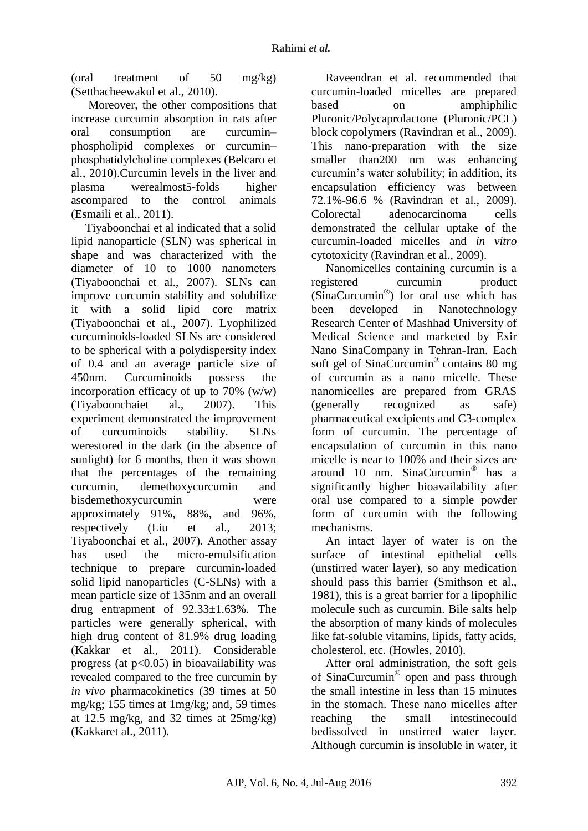(oral treatment of 50 mg/kg) (Setthacheewakul et al., 2010).

Moreover, the other compositions that increase curcumin absorption in rats after oral consumption are curcumin– phospholipid complexes or curcumin– phosphatidylcholine complexes (Belcaro et al., 2010).Curcumin levels in the liver and plasma werealmost5-folds higher ascompared to the control animals (Esmaili et al., 2011).

Tiyaboonchai et al indicated that a solid lipid nanoparticle (SLN) was spherical in shape and was characterized with the diameter of 10 to 1000 nanometers (Tiyaboonchai et al., 2007). SLNs can improve curcumin stability and solubilize it with a solid lipid core matrix (Tiyaboonchai et al., 2007). Lyophilized curcuminoids-loaded SLNs are considered to be spherical with a polydispersity index of 0.4 and an average particle size of 450nm. Curcuminoids possess the incorporation efficacy of up to 70% (w/w) (Tiyaboonchaiet al., 2007). This experiment demonstrated the improvement of curcuminoids stability. SLNs werestored in the dark (in the absence of sunlight) for 6 months, then it was shown that the percentages of the remaining curcumin, demethoxycurcumin and bisdemethoxycurcumin were approximately 91%, 88%, and 96%, respectively (Liu et al., 2013; Tiyaboonchai et al., 2007). Another assay has used the micro-emulsification technique to prepare curcumin-loaded solid lipid nanoparticles (C-SLNs) with a mean particle size of 135nm and an overall drug entrapment of 92.33±1.63%. The particles were generally spherical, with high drug content of 81.9% drug loading (Kakkar et al., 2011). Considerable progress (at  $p<0.05$ ) in bioavailability was revealed compared to the free curcumin by *in vivo* pharmacokinetics (39 times at 50 mg/kg; 155 times at 1mg/kg; and, 59 times at 12.5 mg/kg, and 32 times at 25mg/kg) (Kakkaret al., 2011).

Raveendran et al. recommended that curcumin-loaded micelles are prepared based on amphiphilic Pluronic/Polycaprolactone (Pluronic/PCL) block copolymers (Ravindran et al., 2009). This nano-preparation with the size smaller than200 nm was enhancing curcumin's water solubility; in addition, its encapsulation efficiency was between 72.1%-96.6 % (Ravindran et al., 2009). Colorectal adenocarcinoma cells demonstrated the cellular uptake of the curcumin-loaded micelles and *in vitro* cytotoxicity (Ravindran et al., 2009).

Nanomicelles containing curcumin is a registered curcumin product (SinaCurcumin® ) for oral use which has been developed in Nanotechnology Research Center of Mashhad University of Medical Science and marketed by Exir Nano SinaCompany in Tehran-Iran. Each soft gel of SinaCurcumin® contains 80 mg of curcumin as a nano micelle. These nanomicelles are prepared from GRAS (generally recognized as safe) pharmaceutical excipients and C3-complex form of curcumin. The percentage of encapsulation of curcumin in this nano micelle is near to 100% and their sizes are around 10 nm. SinaCurcumin® has a significantly higher bioavailability after oral use compared to a simple powder form of curcumin with the following mechanisms.

An intact layer of water is on the surface of intestinal epithelial cells (unstirred water layer), so any medication should pass this barrier (Smithson et al., 1981), this is a great barrier for a lipophilic molecule such as curcumin. Bile salts help the absorption of many kinds of molecules like fat-soluble vitamins, lipids, fatty acids, cholesterol, etc. (Howles, 2010).

After oral administration, the soft gels of SinaCurcumin® open and pass through the small intestine in less than 15 minutes in the stomach. These nano micelles after reaching the small intestinecould bedissolved in unstirred water layer. Although curcumin is insoluble in water, it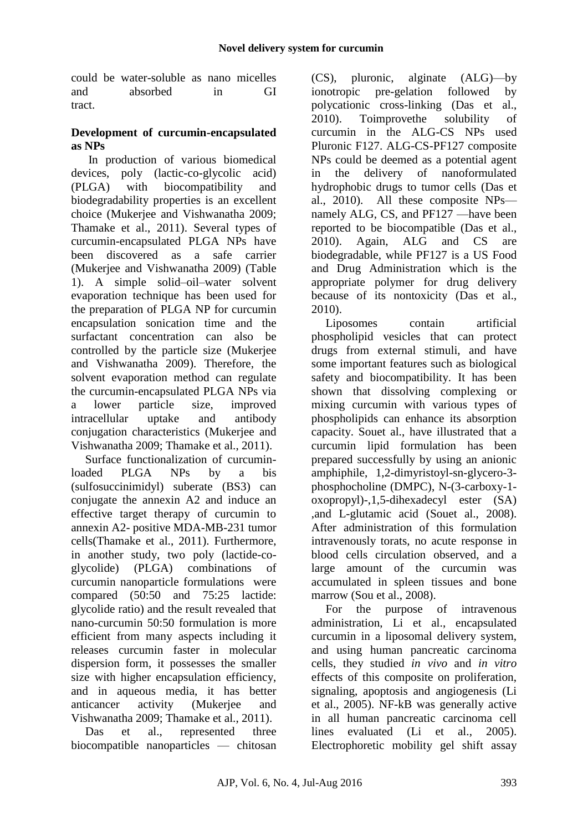could be water-soluble as nano micelles and absorbed in GI tract.

### **Development of curcumin-encapsulated as NPs**

In production of various biomedical devices, poly (lactic-co-glycolic acid) (PLGA) with biocompatibility and biodegradability properties is an excellent choice (Mukerjee and Vishwanatha 2009; Thamake et al., 2011). Several types of curcumin-encapsulated PLGA NPs have been discovered as a safe carrier (Mukerjee and Vishwanatha 2009) (Table 1). A simple solid–oil–water solvent evaporation technique has been used for the preparation of PLGA NP for curcumin encapsulation sonication time and the surfactant concentration can also be controlled by the particle size (Mukerjee and Vishwanatha 2009). Therefore, the solvent evaporation method can regulate the curcumin-encapsulated PLGA NPs via a lower particle size, improved intracellular uptake and antibody conjugation characteristics (Mukerjee and Vishwanatha 2009; Thamake et al., 2011).

Surface functionalization of curcuminloaded PLGA NPs by a bis (sulfosuccinimidyl) suberate (BS3) can conjugate the annexin A2 and induce an effective target therapy of curcumin to annexin A2- positive MDA-MB-231 tumor cells(Thamake et al., 2011). Furthermore, in another study, two poly (lactide-coglycolide) (PLGA) combinations of curcumin nanoparticle formulations were compared (50:50 and 75:25 lactide: glycolide ratio) and the result revealed that nano-curcumin 50:50 formulation is more efficient from many aspects including it releases curcumin faster in molecular dispersion form, it possesses the smaller size with higher encapsulation efficiency, and in aqueous media, it has better anticancer activity (Mukerjee and Vishwanatha 2009; Thamake et al., 2011).

Das et al., represented three biocompatible nanoparticles — chitosan

(CS), pluronic, alginate (ALG)—by ionotropic pre-gelation followed by polycationic cross-linking (Das et al., 2010). Toimprovethe solubility of curcumin in the ALG-CS NPs used Pluronic F127. ALG-CS-PF127 composite NPs could be deemed as a potential agent in the delivery of nanoformulated hydrophobic drugs to tumor cells (Das et al., 2010). All these composite NPs namely ALG, CS, and PF127 —have been reported to be biocompatible (Das et al., 2010). Again, ALG and CS are biodegradable, while PF127 is a US Food and Drug Administration which is the appropriate polymer for drug delivery because of its nontoxicity (Das et al., 2010).

Liposomes contain artificial phospholipid vesicles that can protect drugs from external stimuli, and have some important features such as biological safety and biocompatibility. It has been shown that dissolving complexing or mixing curcumin with various types of phospholipids can enhance its absorption capacity. Souet al., have illustrated that a curcumin lipid formulation has been prepared successfully by using an anionic amphiphile, 1,2-dimyristoyl-sn-glycero-3 phosphocholine (DMPC), N-(3-carboxy-1 oxopropyl)-,1,5-dihexadecyl ester (SA) ,and L-glutamic acid (Souet al., 2008). After administration of this formulation intravenously torats, no acute response in blood cells circulation observed, and a large amount of the curcumin was accumulated in spleen tissues and bone marrow (Sou et al., 2008).

For the purpose of intravenous administration, Li et al., encapsulated curcumin in a liposomal delivery system, and using human pancreatic carcinoma cells, they studied *in vivo* and *in vitro* effects of this composite on proliferation, signaling, apoptosis and angiogenesis (Li et al., 2005). NF-kB was generally active in all human pancreatic carcinoma cell lines evaluated (Li et al., 2005). Electrophoretic mobility gel shift assay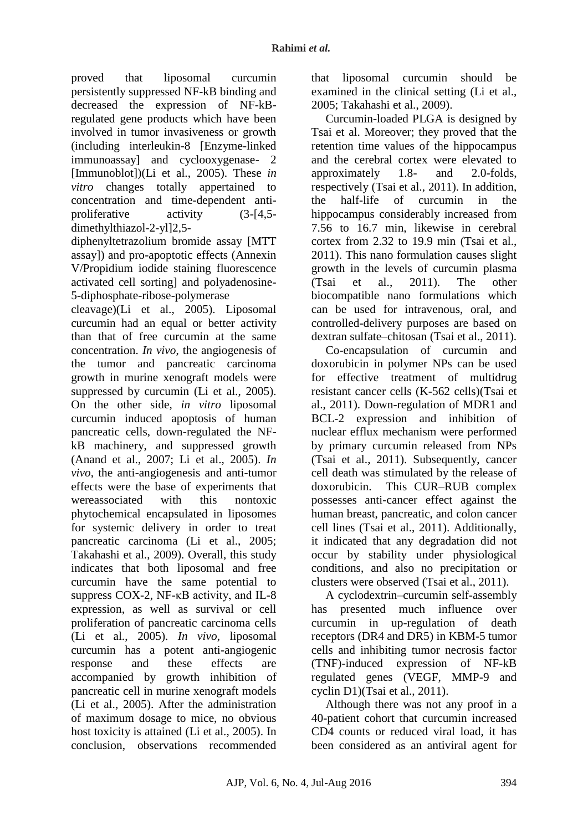proved that liposomal curcumin persistently suppressed NF-kB binding and decreased the expression of NF-kBregulated gene products which have been involved in tumor invasiveness or growth (including interleukin-8 [Enzyme-linked immunoassay] and cyclooxygenase- 2 [Immunoblot])(Li et al., 2005). These *in vitro* changes totally appertained to concentration and time-dependent antiproliferative activity (3-[4,5 dimethylthiazol-2-yl]2,5-

diphenyltetrazolium bromide assay [MTT assay]) and pro-apoptotic effects (Annexin V/Propidium iodide staining fluorescence activated cell sorting] and polyadenosine-5-diphosphate-ribose-polymerase

cleavage)(Li et al., 2005). Liposomal curcumin had an equal or better activity than that of free curcumin at the same concentration. *In vivo*, the angiogenesis of the tumor and pancreatic carcinoma growth in murine xenograft models were suppressed by curcumin (Li et al., 2005). On the other side, *in vitro* liposomal curcumin induced apoptosis of human pancreatic cells, down-regulated the NFkB machinery, and suppressed growth (Anand et al., 2007; Li et al., 2005). *In vivo*, the anti-angiogenesis and anti-tumor effects were the base of experiments that wereassociated with this nontoxic phytochemical encapsulated in liposomes for systemic delivery in order to treat pancreatic carcinoma (Li et al., 2005; Takahashi et al., 2009). Overall, this study indicates that both liposomal and free curcumin have the same potential to suppress COX-2, NF-κB activity, and IL-8 expression, as well as survival or cell proliferation of pancreatic carcinoma cells (Li et al., 2005). *In vivo*, liposomal curcumin has a potent anti-angiogenic response and these effects are accompanied by growth inhibition of pancreatic cell in murine xenograft models (Li et al., 2005). After the administration of maximum dosage to mice, no obvious host toxicity is attained (Li et al., 2005). In conclusion, observations recommended

that liposomal curcumin should be examined in the clinical setting (Li et al., 2005; Takahashi et al., 2009).

Curcumin-loaded PLGA is designed by Tsai et al. Moreover; they proved that the retention time values of the hippocampus and the cerebral cortex were elevated to approximately 1.8- and 2.0-folds, respectively (Tsai et al., 2011). In addition, the half-life of curcumin in the hippocampus considerably increased from 7.56 to 16.7 min, likewise in cerebral cortex from 2.32 to 19.9 min (Tsai et al., 2011). This nano formulation causes slight growth in the levels of curcumin plasma (Tsai et al., 2011). The other biocompatible nano formulations which can be used for intravenous, oral, and controlled-delivery purposes are based on dextran sulfate–chitosan (Tsai et al., 2011).

Co-encapsulation of curcumin and doxorubicin in polymer NPs can be used for effective treatment of multidrug resistant cancer cells (K-562 cells)(Tsai et al., 2011). Down-regulation of MDR1 and BCL-2 expression and inhibition of nuclear efflux mechanism were performed by primary curcumin released from NPs (Tsai et al., 2011). Subsequently, cancer cell death was stimulated by the release of doxorubicin. This CUR–RUB complex possesses anti-cancer effect against the human breast, pancreatic, and colon cancer cell lines (Tsai et al., 2011). Additionally, it indicated that any degradation did not occur by stability under physiological conditions, and also no precipitation or clusters were observed (Tsai et al., 2011).

A cyclodextrin–curcumin self-assembly has presented much influence over curcumin in up-regulation of death receptors (DR4 and DR5) in KBM-5 tumor cells and inhibiting tumor necrosis factor (TNF)-induced expression of NF-kB regulated genes (VEGF, MMP-9 and cyclin D1)(Tsai et al., 2011).

Although there was not any proof in a 40-patient cohort that curcumin increased CD4 counts or reduced viral load, it has been considered as an antiviral agent for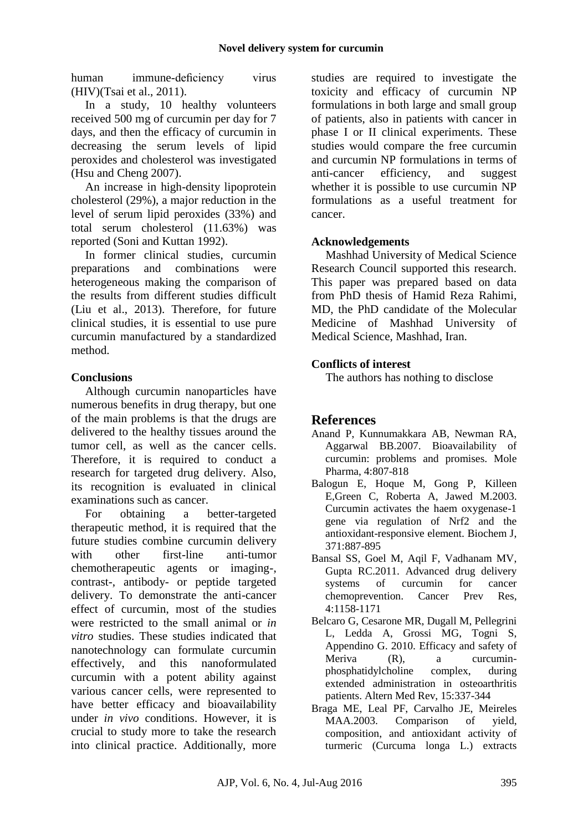human immune-deficiency virus (HIV)(Tsai et al., 2011).

In a study, 10 healthy volunteers received 500 mg of curcumin per day for 7 days, and then the efficacy of curcumin in decreasing the serum levels of lipid peroxides and cholesterol was investigated (Hsu and Cheng 2007).

An increase in high-density lipoprotein cholesterol (29%), a major reduction in the level of serum lipid peroxides (33%) and total serum cholesterol (11.63%) was reported (Soni and Kuttan 1992).

In former clinical studies, curcumin preparations and combinations were heterogeneous making the comparison of the results from different studies difficult (Liu et al., 2013). Therefore, for future clinical studies, it is essential to use pure curcumin manufactured by a standardized method.

## **Conclusions**

Although curcumin nanoparticles have numerous benefits in drug therapy, but one of the main problems is that the drugs are delivered to the healthy tissues around the tumor cell, as well as the cancer cells. Therefore, it is required to conduct a research for targeted drug delivery. Also, its recognition is evaluated in clinical examinations such as cancer.

For obtaining a better-targeted therapeutic method, it is required that the future studies combine curcumin delivery with other first-line anti-tumor chemotherapeutic agents or imaging-, contrast-, antibody- or peptide targeted delivery. To demonstrate the anti-cancer effect of curcumin, most of the studies were restricted to the small animal or *in vitro* studies. These studies indicated that nanotechnology can formulate curcumin effectively, and this nanoformulated curcumin with a potent ability against various cancer cells, were represented to have better efficacy and bioavailability under *in vivo* conditions. However, it is crucial to study more to take the research into clinical practice. Additionally, more

studies are required to investigate the toxicity and efficacy of curcumin NP formulations in both large and small group of patients, also in patients with cancer in phase I or II clinical experiments. These studies would compare the free curcumin and curcumin NP formulations in terms of anti-cancer efficiency, and suggest whether it is possible to use curcumin NP formulations as a useful treatment for cancer.

### **Acknowledgements**

Mashhad University of Medical Science Research Council supported this research. This paper was prepared based on data from PhD thesis of Hamid Reza Rahimi, MD, the PhD candidate of the Molecular Medicine of Mashhad University of Medical Science, Mashhad, Iran.

## **Conflicts of interest**

The authors has nothing to disclose

# **References**

- Anand P, Kunnumakkara AB, Newman RA, Aggarwal BB.2007. Bioavailability of curcumin: problems and promises. Mole Pharma, 4:807-818
- Balogun E, Hoque M, Gong P, Killeen E,Green C, Roberta A, Jawed M.2003. Curcumin activates the haem oxygenase-1 gene via regulation of Nrf2 and the antioxidant-responsive element. Biochem J, 371:887-895
- Bansal SS, Goel M, Aqil F, Vadhanam MV, Gupta RC.2011. Advanced drug delivery systems of curcumin for cancer chemoprevention. Cancer Prev Res, 4:1158-1171
- Belcaro G, Cesarone MR, Dugall M, Pellegrini L, Ledda A, Grossi MG, Togni S, Appendino G. 2010. Efficacy and safety of Meriva (R), a curcuminphosphatidylcholine complex, during extended administration in osteoarthritis patients. Altern Med Rev, 15:337-344
- Braga ME, Leal PF, Carvalho JE, Meireles MAA.2003. Comparison of yield, composition, and antioxidant activity of turmeric (Curcuma longa L.) extracts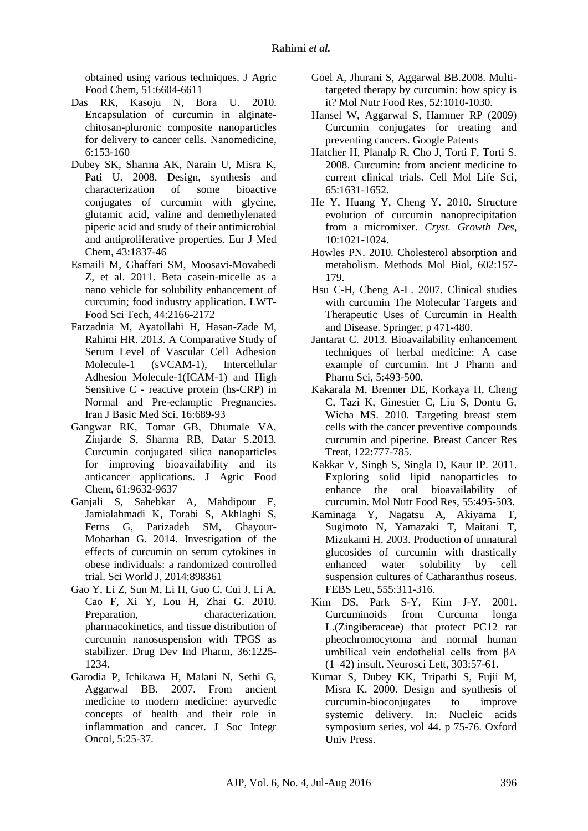obtained using various techniques. J Agric Food Chem, 51:6604-6611

- Das RK, Kasoju N, Bora U. 2010. Encapsulation of curcumin in alginatechitosan-pluronic composite nanoparticles for delivery to cancer cells. Nanomedicine, 6:153-160
- Dubey SK, Sharma AK, Narain U, Misra K, Pati U. 2008. Design, synthesis and characterization of some bioactive conjugates of curcumin with glycine, glutamic acid, valine and demethylenated piperic acid and study of their antimicrobial and antiproliferative properties. Eur J Med Chem, 43:1837-46
- Esmaili M, Ghaffari SM, Moosavi-Movahedi Z, et al. 2011. Beta casein-micelle as a nano vehicle for solubility enhancement of curcumin; food industry application. LWT-Food Sci Tech, 44:2166-2172
- Farzadnia M, Ayatollahi H, Hasan-Zade M, Rahimi HR. 2013. A Comparative Study of Serum Level of Vascular Cell Adhesion Molecule-1 (sVCAM-1), Intercellular Adhesion Molecule-1(ICAM-1) and High Sensitive C - reactive protein (hs-CRP) in Normal and Pre-eclamptic Pregnancies. Iran J Basic Med Sci, 16:689-93
- Gangwar RK, Tomar GB, Dhumale VA, Zinjarde S, Sharma RB, Datar S.2013. Curcumin conjugated silica nanoparticles for improving bioavailability and its anticancer applications. J Agric Food Chem, 61:9632-9637
- Ganjali S, Sahebkar A, Mahdipour E, Jamialahmadi K, Torabi S, Akhlaghi S, Ferns G, Parizadeh SM, Ghayour-Mobarhan G. 2014. Investigation of the effects of curcumin on serum cytokines in obese individuals: a randomized controlled trial. Sci World J, 2014:898361
- Gao Y, Li Z, Sun M, Li H, Guo C, Cui J, Li A, Cao F, Xi Y, Lou H, Zhai G. 2010. Preparation, characterization. pharmacokinetics, and tissue distribution of curcumin nanosuspension with TPGS as stabilizer. Drug Dev Ind Pharm, 36:1225- 1234.
- Garodia P, Ichikawa H, Malani N, Sethi G, Aggarwal BB. 2007. From ancient medicine to modern medicine: ayurvedic concepts of health and their role in inflammation and cancer. J Soc Integr Oncol, 5:25-37.
- Goel A, Jhurani S, Aggarwal BB.2008. Multi‐ targeted therapy by curcumin: how spicy is it? Mol Nutr Food Res, 52:1010-1030.
- Hansel W, Aggarwal S, Hammer RP (2009) Curcumin conjugates for treating and preventing cancers. Google Patents
- Hatcher H, Planalp R, Cho J, Torti F, Torti S. 2008. Curcumin: from ancient medicine to current clinical trials. Cell Mol Life Sci, 65:1631-1652.
- He Y, Huang Y, Cheng Y. 2010. Structure evolution of curcumin nanoprecipitation from a micromixer. *Cryst. Growth Des*, 10:1021-1024.
- Howles PN. 2010. Cholesterol absorption and metabolism. Methods Mol Biol, 602:157- 179.
- Hsu C-H, Cheng A-L. 2007. Clinical studies with curcumin The Molecular Targets and Therapeutic Uses of Curcumin in Health and Disease. Springer, p 471-480.
- Jantarat C. 2013. Bioavailability enhancement techniques of herbal medicine: A case example of curcumin. Int J Pharm and Pharm Sci, 5:493-500.
- Kakarala M, Brenner DE, Korkaya H, Cheng C, Tazi K, Ginestier C, Liu S, Dontu G, Wicha MS. 2010. Targeting breast stem cells with the cancer preventive compounds curcumin and piperine. Breast Cancer Res Treat, 122:777-785.
- Kakkar V, Singh S, Singla D, Kaur IP. 2011. Exploring solid lipid nanoparticles to enhance the oral bioavailability of curcumin. Mol Nutr Food Res, 55:495-503.
- Kaminaga Y, Nagatsu A, Akiyama T, Sugimoto N, Yamazaki T, Maitani T, Mizukami H. 2003. Production of unnatural glucosides of curcumin with drastically enhanced water solubility by cell suspension cultures of Catharanthus roseus. FEBS Lett, 555:311-316.
- Kim DS, Park S-Y, Kim J-Y. 2001. Curcuminoids from Curcuma longa L.(Zingiberaceae) that protect PC12 rat pheochromocytoma and normal human umbilical vein endothelial cells from βA (1–42) insult. Neurosci Lett, 303:57-61.
- Kumar S, Dubey KK, Tripathi S, Fujii M, Misra K. 2000. Design and synthesis of curcumin-bioconjugates to improve systemic delivery. In: Nucleic acids symposium series, vol 44. p 75-76. Oxford Univ Press.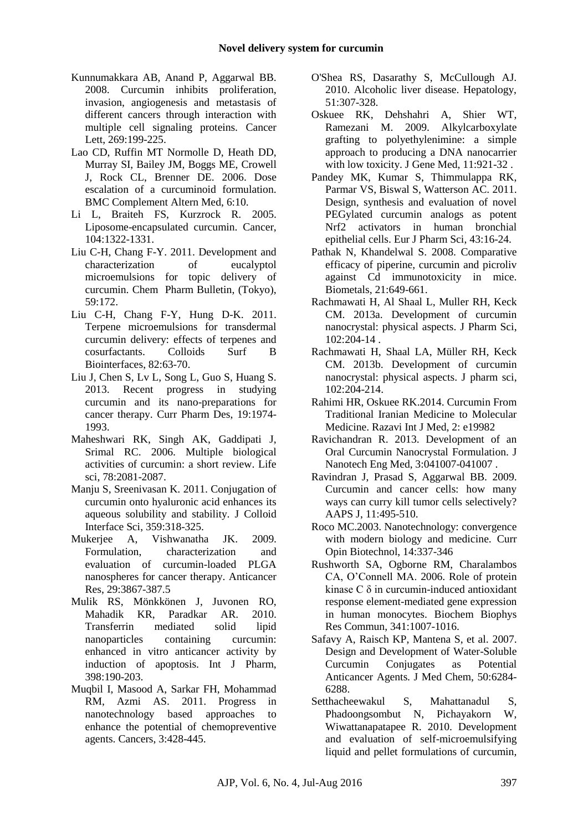- Kunnumakkara AB, Anand P, Aggarwal BB. 2008. Curcumin inhibits proliferation, invasion, angiogenesis and metastasis of different cancers through interaction with multiple cell signaling proteins. Cancer Lett, 269:199-225.
- Lao CD, Ruffin MT Normolle D, Heath DD, Murray SI, Bailey JM, Boggs ME, Crowell J, Rock CL, Brenner DE. 2006. Dose escalation of a curcuminoid formulation. BMC Complement Altern Med, 6:10.
- Li L, Braiteh FS, Kurzrock R. 2005. Liposome-encapsulated curcumin. Cancer, 104:1322-1331.
- Liu C-H, Chang F-Y. 2011. Development and characterization of eucalyptol microemulsions for topic delivery of curcumin. Chem Pharm Bulletin, (Tokyo), 59:172.
- Liu C-H, Chang F-Y, Hung D-K. 2011. Terpene microemulsions for transdermal curcumin delivery: effects of terpenes and cosurfactants. Colloids Surf B Biointerfaces, 82:63-70.
- Liu J, Chen S, Lv L, Song L, Guo S, Huang S. 2013. Recent progress in studying curcumin and its nano-preparations for cancer therapy. Curr Pharm Des, 19:1974- 1993.
- Maheshwari RK, Singh AK, Gaddipati J, Srimal RC. 2006. Multiple biological activities of curcumin: a short review. Life sci, 78:2081-2087.
- Manju S, Sreenivasan K. 2011. Conjugation of curcumin onto hyaluronic acid enhances its aqueous solubility and stability. J Colloid Interface Sci, 359:318-325.
- Mukerjee A, Vishwanatha JK. 2009. Formulation, characterization and evaluation of curcumin-loaded PLGA nanospheres for cancer therapy. Anticancer Res, 29:3867-387.5
- Mulik RS, Mönkkönen J, Juvonen RO, Mahadik KR, Paradkar AR. 2010. Transferrin mediated solid lipid nanoparticles containing curcumin: enhanced in vitro anticancer activity by induction of apoptosis. Int J Pharm, 398:190-203.
- Muqbil I, Masood A, Sarkar FH, Mohammad RM, Azmi AS. 2011. Progress in nanotechnology based approaches to enhance the potential of chemopreventive agents. Cancers, 3:428-445.
- O'Shea RS, Dasarathy S, McCullough AJ. 2010. Alcoholic liver disease. Hepatology, 51:307-328.
- Oskuee RK, Dehshahri A, Shier WT, Ramezani M. 2009. Alkylcarboxylate grafting to polyethylenimine: a simple approach to producing a DNA nanocarrier with low toxicity. J Gene Med, 11:921-32 .
- Pandey MK, Kumar S, Thimmulappa RK, Parmar VS, Biswal S, Watterson AC. 2011. Design, synthesis and evaluation of novel PEGylated curcumin analogs as potent Nrf2 activators in human bronchial epithelial cells. Eur J Pharm Sci, 43:16-24.
- Pathak N, Khandelwal S. 2008. Comparative efficacy of piperine, curcumin and picroliv against Cd immunotoxicity in mice. Biometals, 21:649-661.
- Rachmawati H, Al Shaal L, Muller RH, Keck CM. 2013a. Development of curcumin nanocrystal: physical aspects. J Pharm Sci, 102:204-14 .
- Rachmawati H, Shaal LA, Müller RH, Keck CM. 2013b. Development of curcumin nanocrystal: physical aspects. J pharm sci, 102:204-214.
- Rahimi HR, Oskuee RK.2014. Curcumin From Traditional Iranian Medicine to Molecular Medicine. Razavi Int J Med, 2: e19982
- Ravichandran R. 2013. Development of an Oral Curcumin Nanocrystal Formulation. J Nanotech Eng Med, 3:041007-041007 .
- Ravindran J, Prasad S, Aggarwal BB. 2009. Curcumin and cancer cells: how many ways can curry kill tumor cells selectively? AAPS J, 11:495-510.
- Roco MC.2003. Nanotechnology: convergence with modern biology and medicine. Curr Opin Biotechnol, 14:337-346
- Rushworth SA, Ogborne RM, Charalambos CA, O'Connell MA. 2006. Role of protein kinase C δ in curcumin-induced antioxidant response element-mediated gene expression in human monocytes. Biochem Biophys Res Commun, 341:1007-1016.
- Safavy A, Raisch KP, Mantena S, et al. 2007. Design and Development of Water-Soluble Curcumin Conjugates as Potential Anticancer Agents. J Med Chem, 50:6284- 6288.
- Setthacheewakul S, Mahattanadul S, Phadoongsombut N, Pichayakorn W, Wiwattanapatapee R. 2010. Development and evaluation of self-microemulsifying liquid and pellet formulations of curcumin,